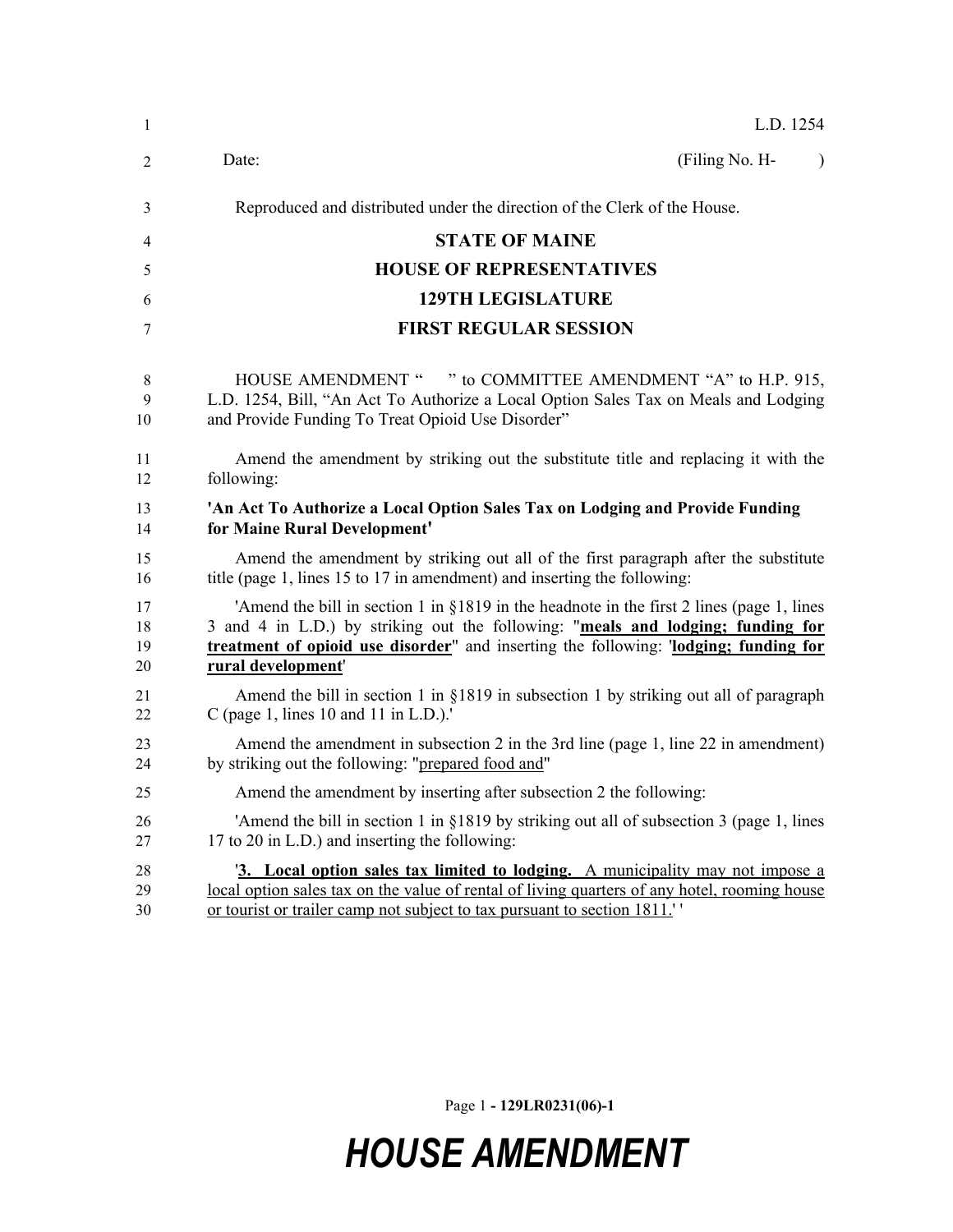| 1  | L.D. 1254                                                                                     |
|----|-----------------------------------------------------------------------------------------------|
| 2  | (Filing No. H-<br>Date:<br>$\lambda$                                                          |
| 3  | Reproduced and distributed under the direction of the Clerk of the House.                     |
| 4  | <b>STATE OF MAINE</b>                                                                         |
| 5  | <b>HOUSE OF REPRESENTATIVES</b>                                                               |
| 6  | <b>129TH LEGISLATURE</b>                                                                      |
| 7  | <b>FIRST REGULAR SESSION</b>                                                                  |
| 8  | HOUSE AMENDMENT " " to COMMITTEE AMENDMENT "A" to H.P. 915,                                   |
| 9  | L.D. 1254, Bill, "An Act To Authorize a Local Option Sales Tax on Meals and Lodging           |
| 10 | and Provide Funding To Treat Opioid Use Disorder"                                             |
| 11 | Amend the amendment by striking out the substitute title and replacing it with the            |
| 12 | following:                                                                                    |
| 13 | 'An Act To Authorize a Local Option Sales Tax on Lodging and Provide Funding                  |
| 14 | for Maine Rural Development'                                                                  |
| 15 | Amend the amendment by striking out all of the first paragraph after the substitute           |
| 16 | title (page 1, lines 15 to 17 in amendment) and inserting the following:                      |
| 17 | 'Amend the bill in section 1 in $\S$ 1819 in the headnote in the first 2 lines (page 1, lines |
| 18 | 3 and 4 in L.D.) by striking out the following: "meals and lodging; funding for               |
| 19 | treatment of opioid use disorder" and inserting the following: 'lodging; funding for          |
| 20 | rural development'                                                                            |
| 21 | Amend the bill in section 1 in §1819 in subsection 1 by striking out all of paragraph         |
| 22 | C (page 1, lines 10 and 11 in L.D.).'                                                         |
| 23 | Amend the amendment in subsection 2 in the 3rd line (page 1, line 22 in amendment)            |
| 24 | by striking out the following: "prepared food and"                                            |
| 25 | Amend the amendment by inserting after subsection 2 the following:                            |
| 26 | 'Amend the bill in section 1 in §1819 by striking out all of subsection 3 (page 1, lines      |
| 27 | 17 to 20 in L.D.) and inserting the following:                                                |
| 28 | <sup>'3</sup> . Local option sales tax limited to lodging. A municipality may not impose a    |
| 29 | local option sales tax on the value of rental of living quarters of any hotel, rooming house  |
| 30 | or tourist or trailer camp not subject to tax pursuant to section 1811."                      |

Page 1 **- 129LR0231(06)-1**

## *HOUSE AMENDMENT*